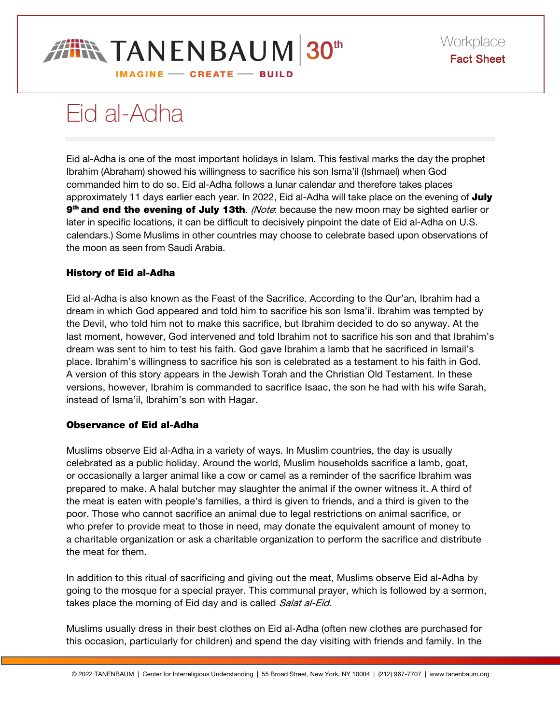

# Eid al-Adha

Eid al-Adha is one of the most important holidays in Islam. This festival marks the day the prophet Ibrahim (Abraham) showed his willingness to sacrifice his son Isma'il (Ishmael) when God commanded him to do so. Eid al-Adha follows a lunar calendar and therefore takes places approximately 11 days earlier each year. In 2022, Eid al-Adha will take place on the evening of July 9<sup>th</sup> and end the evening of July 13th. *(Note*: because the new moon may be sighted earlier or later in specific locations, it can be difficult to decisively pinpoint the date of Eid al-Adha on U.S. calendars.) Some Muslims in other countries may choose to celebrate based upon observations of the moon as seen from Saudi Arabia.

## History of Eid al-Adha

Eid al-Adha is also known as the Feast of the Sacrifice. According to the Qur'an, Ibrahim had a dream in which God appeared and told him to sacrifice his son Isma'il. Ibrahim was tempted by the Devil, who told him not to make this sacrifice, but Ibrahim decided to do so anyway. At the last moment, however, God intervened and told Ibrahim not to sacrifice his son and that Ibrahim's dream was sent to him to test his faith. God gave Ibrahim a lamb that he sacrificed in Ismail's place. Ibrahim's willingness to sacrifice his son is celebrated as a testament to his faith in God. A version of this story appears in the Jewish Torah and the Christian Old Testament. In these versions, however, Ibrahim is commanded to sacrifice Isaac, the son he had with his wife Sarah, instead of Isma'il, Ibrahim's son with Hagar.

## Observance of Eid al-Adha

Muslims observe Eid al-Adha in a variety of ways. In Muslim countries, the day is usually celebrated as a public holiday. Around the world, Muslim households sacrifice a lamb, goat, or occasionally a larger animal like a cow or camel as a reminder of the sacrifice Ibrahim was prepared to make. A halal butcher may slaughter the animal if the owner witness it. A third of the meat is eaten with people's families, a third is given to friends, and a third is given to the poor. Those who cannot sacrifice an animal due to legal restrictions on animal sacrifice, or who prefer to provide meat to those in need, may donate the equivalent amount of money to a charitable organization or ask a charitable organization to perform the sacrifice and distribute the meat for them.

In addition to this ritual of sacrificing and giving out the meat, Muslims observe Eid al-Adha by going to the mosque for a special prayer. This communal prayer, which is followed by a sermon, takes place the morning of Eid day and is called Salat al-Eid.

Muslims usually dress in their best clothes on Eid al-Adha (often new clothes are purchased for this occasion, particularly for children) and spend the day visiting with friends and family. In the